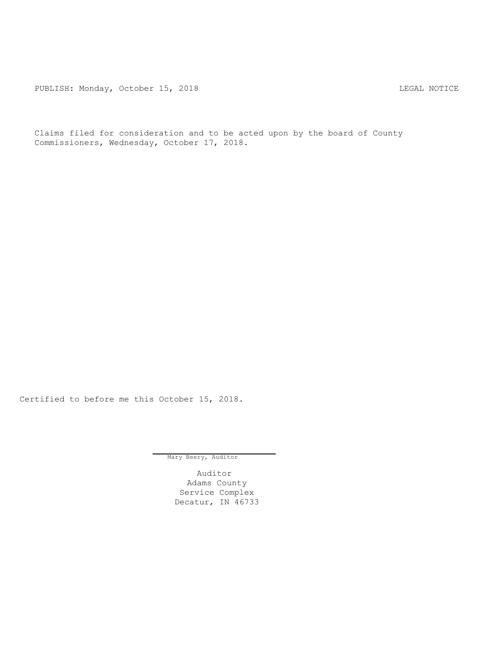PUBLISH: Monday, October 15, 2018 CHA CHANGE CONSTRUCTED AND THE LEGAL NOTICE

Claims filed for consideration and to be acted upon by the board of County Commissioners, Wednesday, October 17, 2018.

Certified to before me this October 15, 2018.

Mary Beery, Auditor

Auditor Adams County Service Complex Decatur, IN 46733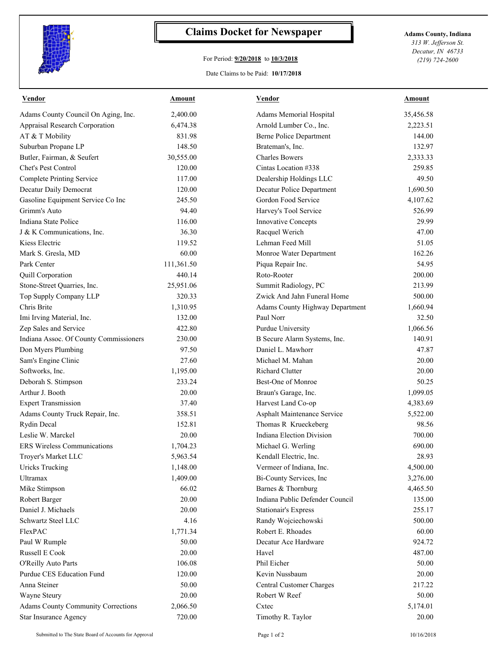

## **Claims Docket for Newspaper Adams County, Indiana**

## For Period: **9/20/2018** to **10/3/2018**

*313 W. Jefferson St. Decatur, IN 46733 (219) 724-2600*

## Date Claims to be Paid: **10/17/2018**

| <b>Vendor</b>                             | <b>Amount</b> | <b>Vendor</b>                    | Amount    |
|-------------------------------------------|---------------|----------------------------------|-----------|
| Adams County Council On Aging, Inc.       | 2,400.00      | Adams Memorial Hospital          | 35,456.58 |
| Appraisal Research Corporation            | 6,474.38      | Arnold Lumber Co., Inc.          | 2,223.51  |
| AT & T Mobility                           | 831.98        | <b>Berne Police Department</b>   | 144.00    |
| Suburban Propane LP                       | 148.50        | Brateman's, Inc.                 | 132.97    |
| Butler, Fairman, & Seufert                | 30,555.00     | <b>Charles Bowers</b>            | 2,333.33  |
| Chet's Pest Control                       | 120.00        | Cintas Location #338             | 259.85    |
| <b>Complete Printing Service</b>          | 117.00        | Dealership Holdings LLC          | 49.50     |
| Decatur Daily Democrat                    | 120.00        | Decatur Police Department        | 1,690.50  |
| Gasoline Equipment Service Co Inc         | 245.50        | Gordon Food Service              | 4,107.62  |
| Grimm's Auto                              | 94.40         | Harvey's Tool Service            | 526.99    |
| Indiana State Police                      | 116.00        | Innovative Concepts              | 29.99     |
| J & K Communications, Inc.                | 36.30         | Racquel Werich                   | 47.00     |
| Kiess Electric                            | 119.52        | Lehman Feed Mill                 | 51.05     |
| Mark S. Gresla, MD                        | 60.00         | Monroe Water Department          | 162.26    |
| Park Center                               | 111,361.50    | Piqua Repair Inc.                | 54.95     |
| Quill Corporation                         | 440.14        | Roto-Rooter                      | 200.00    |
| Stone-Street Quarries, Inc.               | 25,951.06     | Summit Radiology, PC             | 213.99    |
| Top Supply Company LLP                    | 320.33        | Zwick And Jahn Funeral Home      | 500.00    |
| Chris Brite                               | 1,310.95      | Adams County Highway Department  | 1,660.94  |
| Imi Irving Material, Inc.                 | 132.00        | Paul Norr                        | 32.50     |
| Zep Sales and Service                     | 422.80        | Purdue University                | 1,066.56  |
| Indiana Assoc. Of County Commissioners    | 230.00        | B Secure Alarm Systems, Inc.     | 140.91    |
| Don Myers Plumbing                        | 97.50         | Daniel L. Mawhorr                | 47.87     |
| Sam's Engine Clinic                       | 27.60         | Michael M. Mahan                 | 20.00     |
| Softworks, Inc.                           | 1,195.00      | <b>Richard Clutter</b>           | 20.00     |
| Deborah S. Stimpson                       | 233.24        | Best-One of Monroe               | 50.25     |
| Arthur J. Booth                           | 20.00         | Braun's Garage, Inc.             | 1,099.05  |
| <b>Expert Transmission</b>                | 37.40         | Harvest Land Co-op               | 4,383.69  |
| Adams County Truck Repair, Inc.           | 358.51        | Asphalt Maintenance Service      | 5,522.00  |
| Rydin Decal                               | 152.81        | Thomas R Krueckeberg             | 98.56     |
| Leslie W. Marckel                         | 20.00         | <b>Indiana Election Division</b> | 700.00    |
| <b>ERS Wireless Communications</b>        | 1,704.23      | Michael G. Werling               | 690.00    |
| Troyer's Market LLC                       | 5,963.54      | Kendall Electric, Inc.           | 28.93     |
| <b>Uricks Trucking</b>                    | 1,148.00      | Vermeer of Indiana, Inc.         | 4,500.00  |
| Ultramax                                  | 1,409.00      | Bi-County Services, Inc          | 3,276.00  |
| Mike Stimpson                             | 66.02         | Barnes & Thornburg               | 4,465.50  |
| Robert Barger                             | 20.00         | Indiana Public Defender Council  | 135.00    |
| Daniel J. Michaels                        | 20.00         | <b>Stationair's Express</b>      | 255.17    |
| Schwartz Steel LLC                        | 4.16          | Randy Wojciechowski              | 500.00    |
| FlexPAC                                   | 1,771.34      | Robert E. Rhoades                | 60.00     |
| Paul W Rumple                             | 50.00         | Decatur Ace Hardware             | 924.72    |
| Russell E Cook                            | 20.00         | Havel                            | 487.00    |
| O'Reilly Auto Parts                       | 106.08        | Phil Eicher                      | 50.00     |
| Purdue CES Education Fund                 | 120.00        | Kevin Nussbaum                   | 20.00     |
| Anna Steiner                              | 50.00         | Central Customer Charges         | 217.22    |
| Wayne Steury                              | 20.00         | Robert W Reef                    | 50.00     |
| <b>Adams County Community Corrections</b> | 2,066.50      | Cxtec                            | 5,174.01  |
| Star Insurance Agency                     | 720.00        | Timothy R. Taylor                | 20.00     |